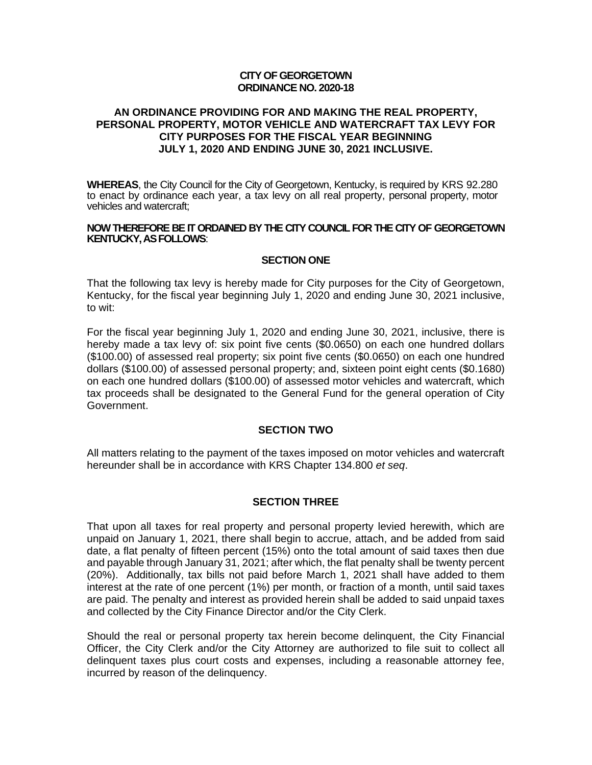#### **CITY OF GEORGETOWN ORDINANCE NO. 2020-18**

### **AN ORDINANCE PROVIDING FOR AND MAKING THE REAL PROPERTY, PERSONAL PROPERTY, MOTOR VEHICLE AND WATERCRAFT TAX LEVY FOR CITY PURPOSES FOR THE FISCAL YEAR BEGINNING JULY 1, 2020 AND ENDING JUNE 30, 2021 INCLUSIVE.**

**WHEREAS**, the City Council for the City of Georgetown, Kentucky, is required by KRS 92.280 to enact by ordinance each year, a tax levy on all real property, personal property, motor vehicles and watercraft;

#### **NOW THEREFORE BE IT ORDAINED BY THE CITY COUNCIL FOR THE CITY OF GEORGETOWN KENTUCKY, AS FOLLOWS**:

#### **SECTION ONE**

That the following tax levy is hereby made for City purposes for the City of Georgetown, Kentucky, for the fiscal year beginning July 1, 2020 and ending June 30, 2021 inclusive, to wit:

For the fiscal year beginning July 1, 2020 and ending June 30, 2021, inclusive, there is hereby made a tax levy of: six point five cents (\$0.0650) on each one hundred dollars (\$100.00) of assessed real property; six point five cents (\$0.0650) on each one hundred dollars (\$100.00) of assessed personal property; and, sixteen point eight cents (\$0.1680) on each one hundred dollars (\$100.00) of assessed motor vehicles and watercraft, which tax proceeds shall be designated to the General Fund for the general operation of City Government.

#### **SECTION TWO**

All matters relating to the payment of the taxes imposed on motor vehicles and watercraft hereunder shall be in accordance with KRS Chapter 134.800 *et seq*.

#### **SECTION THREE**

That upon all taxes for real property and personal property levied herewith, which are unpaid on January 1, 2021, there shall begin to accrue, attach, and be added from said date, a flat penalty of fifteen percent (15%) onto the total amount of said taxes then due and payable through January 31, 2021; after which, the flat penalty shall be twenty percent (20%). Additionally, tax bills not paid before March 1, 2021 shall have added to them interest at the rate of one percent (1%) per month, or fraction of a month, until said taxes are paid. The penalty and interest as provided herein shall be added to said unpaid taxes and collected by the City Finance Director and/or the City Clerk.

Should the real or personal property tax herein become delinquent, the City Financial Officer, the City Clerk and/or the City Attorney are authorized to file suit to collect all delinquent taxes plus court costs and expenses, including a reasonable attorney fee, incurred by reason of the delinquency.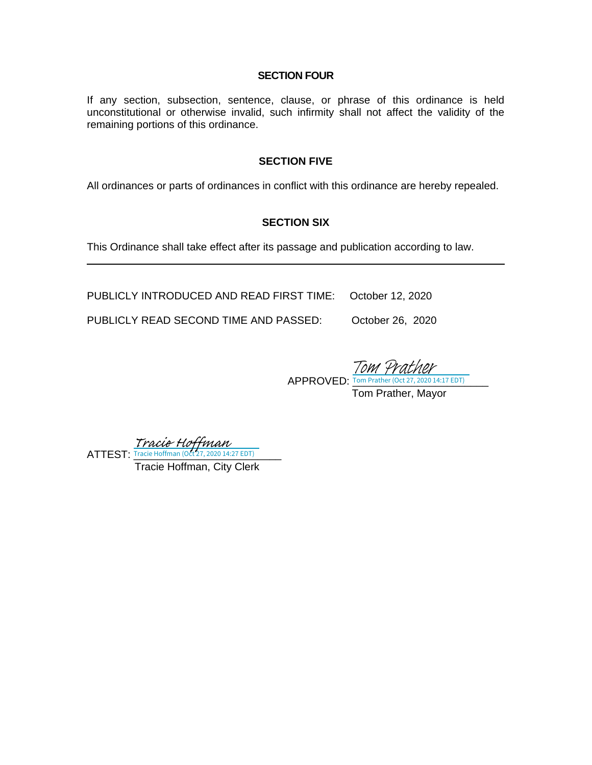#### **SECTION FOUR**

If any section, subsection, sentence, clause, or phrase of this ordinance is held unconstitutional or otherwise invalid, such infirmity shall not affect the validity of the remaining portions of this ordinance.

#### **SECTION FIVE**

All ordinances or parts of ordinances in conflict with this ordinance are hereby repealed.

## **SECTION SIX**

This Ordinance shall take effect after its passage and publication according to law.

PUBLICLY INTRODUCED AND READ FIRST TIME: October 12, 2020

PUBLICLY READ SECOND TIME AND PASSED: October 26, 2020

APPROVED: <u>Tom Prather (Oct 27, 2020 14:17 EDT)</u> Tom Prather, Mayor Tom 4

ATTEST: Tracie Hoffman (Oct 27, 2020 14:27 EDT) [Tracie Hoffman](https://na1.documents.adobe.com/verifier?tx=CBJCHBCAABAArT0-Aw-9_jMoKfxoNb_LKpJ4Y3e-Ont0)<br>Tracie Hoffman (Oct 27, 2020 14:27 EDT)

Tracie Hoffman, City Clerk